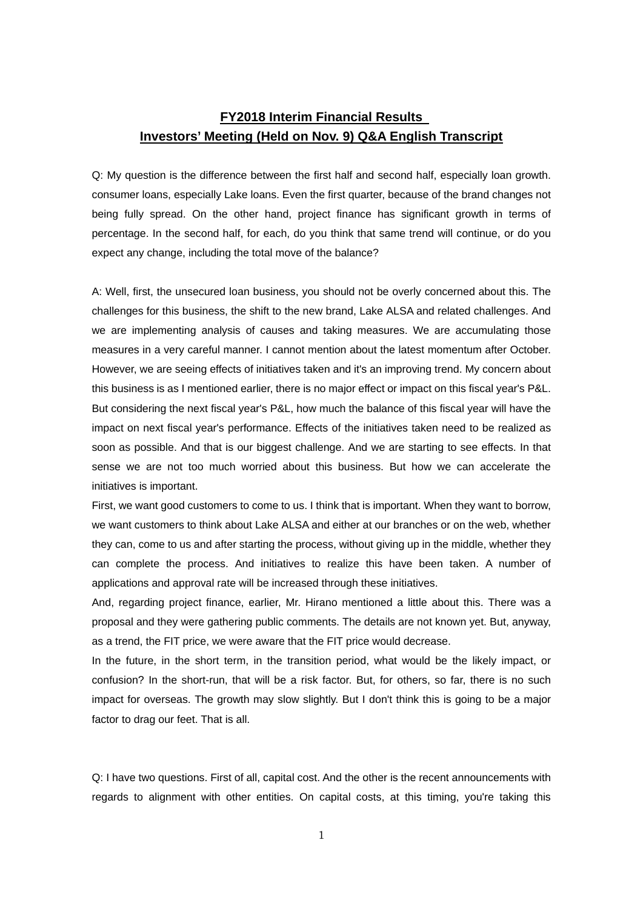## **FY2018 Interim Financial Results Investors' Meeting (Held on Nov. 9) Q&A English Transcript**

Q: My question is the difference between the first half and second half, especially loan growth. consumer loans, especially Lake loans. Even the first quarter, because of the brand changes not being fully spread. On the other hand, project finance has significant growth in terms of percentage. In the second half, for each, do you think that same trend will continue, or do you expect any change, including the total move of the balance?

A: Well, first, the unsecured loan business, you should not be overly concerned about this. The challenges for this business, the shift to the new brand, Lake ALSA and related challenges. And we are implementing analysis of causes and taking measures. We are accumulating those measures in a very careful manner. I cannot mention about the latest momentum after October. However, we are seeing effects of initiatives taken and it's an improving trend. My concern about this business is as I mentioned earlier, there is no major effect or impact on this fiscal year's P&L. But considering the next fiscal year's P&L, how much the balance of this fiscal year will have the impact on next fiscal year's performance. Effects of the initiatives taken need to be realized as soon as possible. And that is our biggest challenge. And we are starting to see effects. In that sense we are not too much worried about this business. But how we can accelerate the initiatives is important.

First, we want good customers to come to us. I think that is important. When they want to borrow, we want customers to think about Lake ALSA and either at our branches or on the web, whether they can, come to us and after starting the process, without giving up in the middle, whether they can complete the process. And initiatives to realize this have been taken. A number of applications and approval rate will be increased through these initiatives.

And, regarding project finance, earlier, Mr. Hirano mentioned a little about this. There was a proposal and they were gathering public comments. The details are not known yet. But, anyway, as a trend, the FIT price, we were aware that the FIT price would decrease.

In the future, in the short term, in the transition period, what would be the likely impact, or confusion? In the short-run, that will be a risk factor. But, for others, so far, there is no such impact for overseas. The growth may slow slightly. But I don't think this is going to be a major factor to drag our feet. That is all.

Q: I have two questions. First of all, capital cost. And the other is the recent announcements with regards to alignment with other entities. On capital costs, at this timing, you're taking this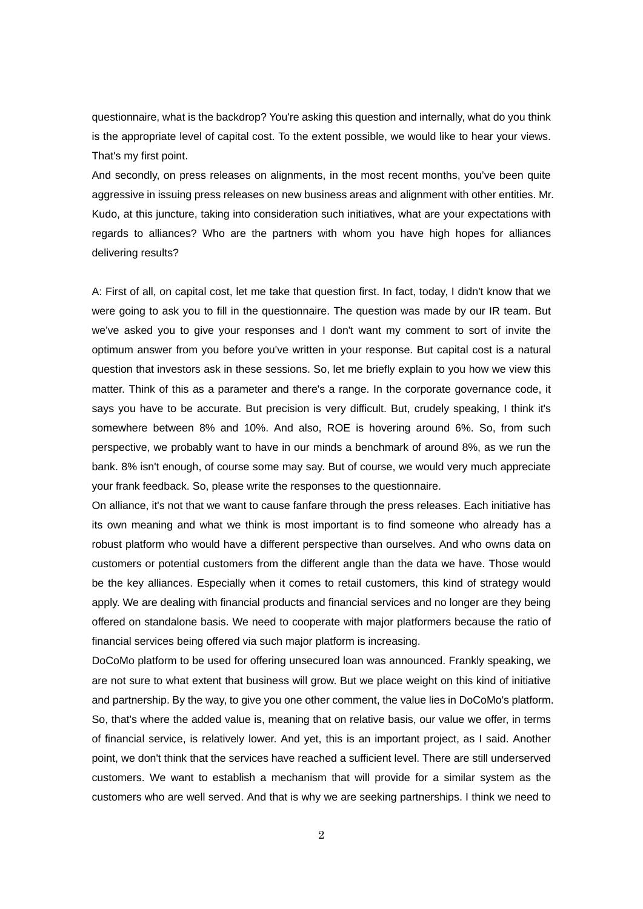questionnaire, what is the backdrop? You're asking this question and internally, what do you think is the appropriate level of capital cost. To the extent possible, we would like to hear your views. That's my first point.

And secondly, on press releases on alignments, in the most recent months, you've been quite aggressive in issuing press releases on new business areas and alignment with other entities. Mr. Kudo, at this juncture, taking into consideration such initiatives, what are your expectations with regards to alliances? Who are the partners with whom you have high hopes for alliances delivering results?

A: First of all, on capital cost, let me take that question first. In fact, today, I didn't know that we were going to ask you to fill in the questionnaire. The question was made by our IR team. But we've asked you to give your responses and I don't want my comment to sort of invite the optimum answer from you before you've written in your response. But capital cost is a natural question that investors ask in these sessions. So, let me briefly explain to you how we view this matter. Think of this as a parameter and there's a range. In the corporate governance code, it says you have to be accurate. But precision is very difficult. But, crudely speaking, I think it's somewhere between 8% and 10%. And also, ROE is hovering around 6%. So, from such perspective, we probably want to have in our minds a benchmark of around 8%, as we run the bank. 8% isn't enough, of course some may say. But of course, we would very much appreciate your frank feedback. So, please write the responses to the questionnaire.

On alliance, it's not that we want to cause fanfare through the press releases. Each initiative has its own meaning and what we think is most important is to find someone who already has a robust platform who would have a different perspective than ourselves. And who owns data on customers or potential customers from the different angle than the data we have. Those would be the key alliances. Especially when it comes to retail customers, this kind of strategy would apply. We are dealing with financial products and financial services and no longer are they being offered on standalone basis. We need to cooperate with major platformers because the ratio of financial services being offered via such major platform is increasing.

DoCoMo platform to be used for offering unsecured loan was announced. Frankly speaking, we are not sure to what extent that business will grow. But we place weight on this kind of initiative and partnership. By the way, to give you one other comment, the value lies in DoCoMo's platform. So, that's where the added value is, meaning that on relative basis, our value we offer, in terms of financial service, is relatively lower. And yet, this is an important project, as I said. Another point, we don't think that the services have reached a sufficient level. There are still underserved customers. We want to establish a mechanism that will provide for a similar system as the customers who are well served. And that is why we are seeking partnerships. I think we need to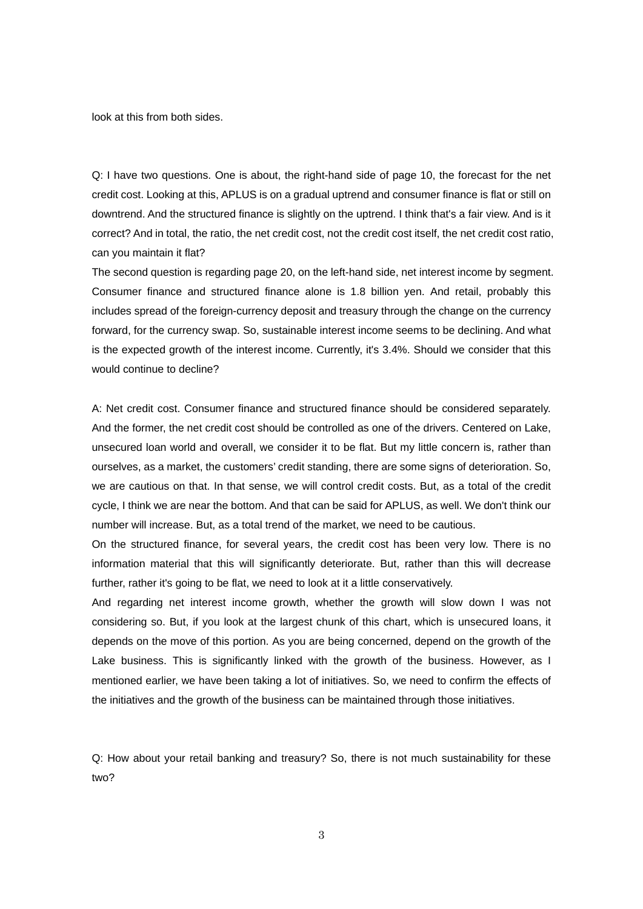look at this from both sides.

Q: I have two questions. One is about, the right-hand side of page 10, the forecast for the net credit cost. Looking at this, APLUS is on a gradual uptrend and consumer finance is flat or still on downtrend. And the structured finance is slightly on the uptrend. I think that's a fair view. And is it correct? And in total, the ratio, the net credit cost, not the credit cost itself, the net credit cost ratio, can you maintain it flat?

The second question is regarding page 20, on the left-hand side, net interest income by segment. Consumer finance and structured finance alone is 1.8 billion yen. And retail, probably this includes spread of the foreign-currency deposit and treasury through the change on the currency forward, for the currency swap. So, sustainable interest income seems to be declining. And what is the expected growth of the interest income. Currently, it's 3.4%. Should we consider that this would continue to decline?

A: Net credit cost. Consumer finance and structured finance should be considered separately. And the former, the net credit cost should be controlled as one of the drivers. Centered on Lake, unsecured loan world and overall, we consider it to be flat. But my little concern is, rather than ourselves, as a market, the customers' credit standing, there are some signs of deterioration. So, we are cautious on that. In that sense, we will control credit costs. But, as a total of the credit cycle, I think we are near the bottom. And that can be said for APLUS, as well. We don't think our number will increase. But, as a total trend of the market, we need to be cautious.

On the structured finance, for several years, the credit cost has been very low. There is no information material that this will significantly deteriorate. But, rather than this will decrease further, rather it's going to be flat, we need to look at it a little conservatively.

And regarding net interest income growth, whether the growth will slow down I was not considering so. But, if you look at the largest chunk of this chart, which is unsecured loans, it depends on the move of this portion. As you are being concerned, depend on the growth of the Lake business. This is significantly linked with the growth of the business. However, as I mentioned earlier, we have been taking a lot of initiatives. So, we need to confirm the effects of the initiatives and the growth of the business can be maintained through those initiatives.

Q: How about your retail banking and treasury? So, there is not much sustainability for these two?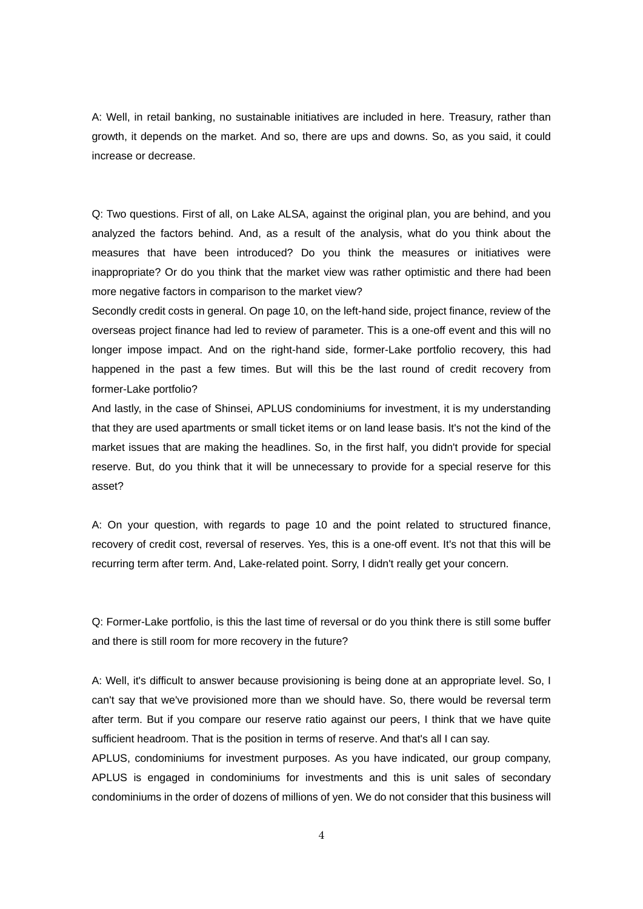A: Well, in retail banking, no sustainable initiatives are included in here. Treasury, rather than growth, it depends on the market. And so, there are ups and downs. So, as you said, it could increase or decrease.

Q: Two questions. First of all, on Lake ALSA, against the original plan, you are behind, and you analyzed the factors behind. And, as a result of the analysis, what do you think about the measures that have been introduced? Do you think the measures or initiatives were inappropriate? Or do you think that the market view was rather optimistic and there had been more negative factors in comparison to the market view?

Secondly credit costs in general. On page 10, on the left-hand side, project finance, review of the overseas project finance had led to review of parameter. This is a one-off event and this will no longer impose impact. And on the right-hand side, former-Lake portfolio recovery, this had happened in the past a few times. But will this be the last round of credit recovery from former-Lake portfolio?

And lastly, in the case of Shinsei, APLUS condominiums for investment, it is my understanding that they are used apartments or small ticket items or on land lease basis. It's not the kind of the market issues that are making the headlines. So, in the first half, you didn't provide for special reserve. But, do you think that it will be unnecessary to provide for a special reserve for this asset?

A: On your question, with regards to page 10 and the point related to structured finance, recovery of credit cost, reversal of reserves. Yes, this is a one-off event. It's not that this will be recurring term after term. And, Lake-related point. Sorry, I didn't really get your concern.

Q: Former-Lake portfolio, is this the last time of reversal or do you think there is still some buffer and there is still room for more recovery in the future?

A: Well, it's difficult to answer because provisioning is being done at an appropriate level. So, I can't say that we've provisioned more than we should have. So, there would be reversal term after term. But if you compare our reserve ratio against our peers, I think that we have quite sufficient headroom. That is the position in terms of reserve. And that's all I can say.

APLUS, condominiums for investment purposes. As you have indicated, our group company, APLUS is engaged in condominiums for investments and this is unit sales of secondary condominiums in the order of dozens of millions of yen. We do not consider that this business will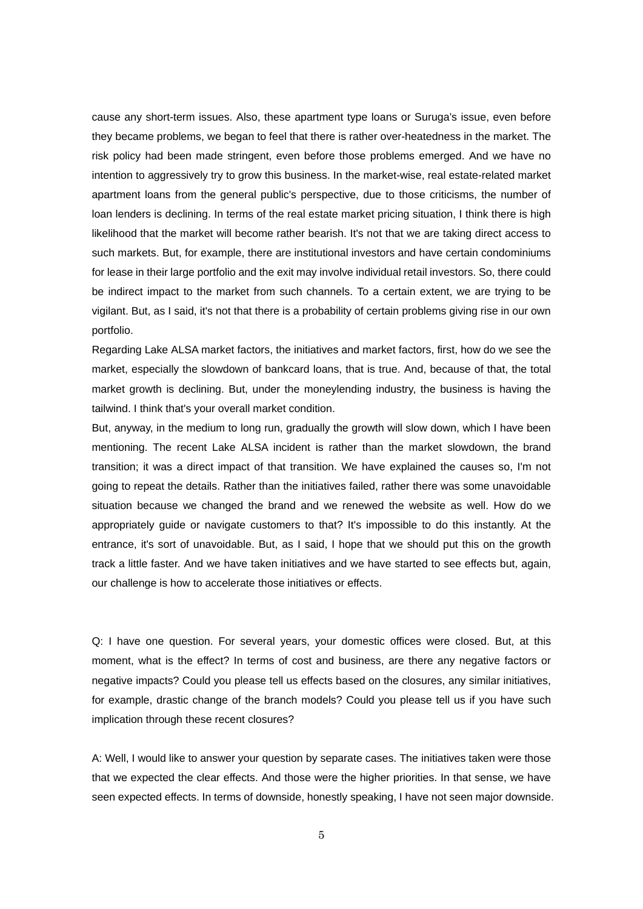cause any short-term issues. Also, these apartment type loans or Suruga's issue, even before they became problems, we began to feel that there is rather over-heatedness in the market. The risk policy had been made stringent, even before those problems emerged. And we have no intention to aggressively try to grow this business. In the market-wise, real estate-related market apartment loans from the general public's perspective, due to those criticisms, the number of loan lenders is declining. In terms of the real estate market pricing situation, I think there is high likelihood that the market will become rather bearish. It's not that we are taking direct access to such markets. But, for example, there are institutional investors and have certain condominiums for lease in their large portfolio and the exit may involve individual retail investors. So, there could be indirect impact to the market from such channels. To a certain extent, we are trying to be vigilant. But, as I said, it's not that there is a probability of certain problems giving rise in our own portfolio.

Regarding Lake ALSA market factors, the initiatives and market factors, first, how do we see the market, especially the slowdown of bankcard loans, that is true. And, because of that, the total market growth is declining. But, under the moneylending industry, the business is having the tailwind. I think that's your overall market condition.

But, anyway, in the medium to long run, gradually the growth will slow down, which I have been mentioning. The recent Lake ALSA incident is rather than the market slowdown, the brand transition; it was a direct impact of that transition. We have explained the causes so, I'm not going to repeat the details. Rather than the initiatives failed, rather there was some unavoidable situation because we changed the brand and we renewed the website as well. How do we appropriately guide or navigate customers to that? It's impossible to do this instantly. At the entrance, it's sort of unavoidable. But, as I said, I hope that we should put this on the growth track a little faster. And we have taken initiatives and we have started to see effects but, again, our challenge is how to accelerate those initiatives or effects.

Q: I have one question. For several years, your domestic offices were closed. But, at this moment, what is the effect? In terms of cost and business, are there any negative factors or negative impacts? Could you please tell us effects based on the closures, any similar initiatives, for example, drastic change of the branch models? Could you please tell us if you have such implication through these recent closures?

A: Well, I would like to answer your question by separate cases. The initiatives taken were those that we expected the clear effects. And those were the higher priorities. In that sense, we have seen expected effects. In terms of downside, honestly speaking, I have not seen major downside.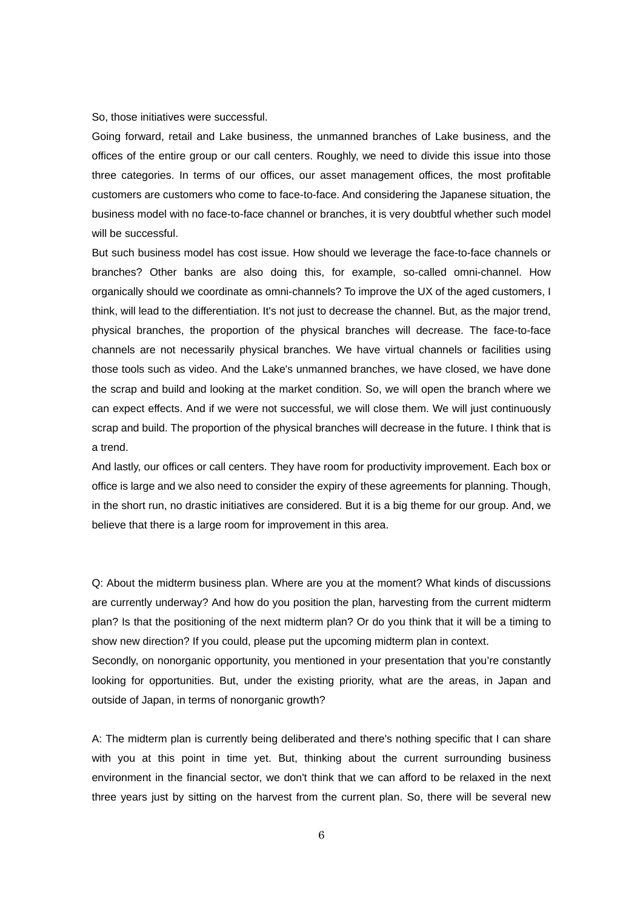## So, those initiatives were successful.

Going forward, retail and Lake business, the unmanned branches of Lake business, and the offices of the entire group or our call centers. Roughly, we need to divide this issue into those three categories. In terms of our offices, our asset management offices, the most profitable customers are customers who come to face-to-face. And considering the Japanese situation, the business model with no face-to-face channel or branches, it is very doubtful whether such model will be successful.

But such business model has cost issue. How should we leverage the face-to-face channels or branches? Other banks are also doing this, for example, so-called omni-channel. How organically should we coordinate as omni-channels? To improve the UX of the aged customers, I think, will lead to the differentiation. It's not just to decrease the channel. But, as the major trend, physical branches, the proportion of the physical branches will decrease. The face-to-face channels are not necessarily physical branches. We have virtual channels or facilities using those tools such as video. And the Lake's unmanned branches, we have closed, we have done the scrap and build and looking at the market condition. So, we will open the branch where we can expect effects. And if we were not successful, we will close them. We will just continuously scrap and build. The proportion of the physical branches will decrease in the future. I think that is a trend.

And lastly, our offices or call centers. They have room for productivity improvement. Each box or office is large and we also need to consider the expiry of these agreements for planning. Though, in the short run, no drastic initiatives are considered. But it is a big theme for our group. And, we believe that there is a large room for improvement in this area.

Q: About the midterm business plan. Where are you at the moment? What kinds of discussions are currently underway? And how do you position the plan, harvesting from the current midterm plan? Is that the positioning of the next midterm plan? Or do you think that it will be a timing to show new direction? If you could, please put the upcoming midterm plan in context.

Secondly, on nonorganic opportunity, you mentioned in your presentation that you're constantly looking for opportunities. But, under the existing priority, what are the areas, in Japan and outside of Japan, in terms of nonorganic growth?

A: The midterm plan is currently being deliberated and there's nothing specific that I can share with you at this point in time yet. But, thinking about the current surrounding business environment in the financial sector, we don't think that we can afford to be relaxed in the next three years just by sitting on the harvest from the current plan. So, there will be several new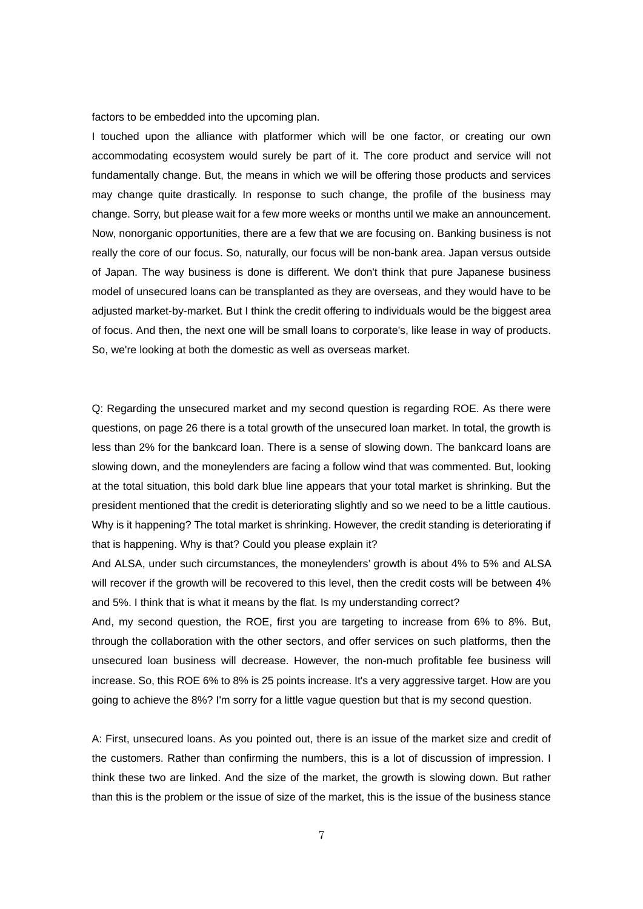factors to be embedded into the upcoming plan.

I touched upon the alliance with platformer which will be one factor, or creating our own accommodating ecosystem would surely be part of it. The core product and service will not fundamentally change. But, the means in which we will be offering those products and services may change quite drastically. In response to such change, the profile of the business may change. Sorry, but please wait for a few more weeks or months until we make an announcement. Now, nonorganic opportunities, there are a few that we are focusing on. Banking business is not really the core of our focus. So, naturally, our focus will be non-bank area. Japan versus outside of Japan. The way business is done is different. We don't think that pure Japanese business model of unsecured loans can be transplanted as they are overseas, and they would have to be adjusted market-by-market. But I think the credit offering to individuals would be the biggest area of focus. And then, the next one will be small loans to corporate's, like lease in way of products. So, we're looking at both the domestic as well as overseas market.

Q: Regarding the unsecured market and my second question is regarding ROE. As there were questions, on page 26 there is a total growth of the unsecured loan market. In total, the growth is less than 2% for the bankcard loan. There is a sense of slowing down. The bankcard loans are slowing down, and the moneylenders are facing a follow wind that was commented. But, looking at the total situation, this bold dark blue line appears that your total market is shrinking. But the president mentioned that the credit is deteriorating slightly and so we need to be a little cautious. Why is it happening? The total market is shrinking. However, the credit standing is deteriorating if that is happening. Why is that? Could you please explain it?

And ALSA, under such circumstances, the moneylenders' growth is about 4% to 5% and ALSA will recover if the growth will be recovered to this level, then the credit costs will be between 4% and 5%. I think that is what it means by the flat. Is my understanding correct?

And, my second question, the ROE, first you are targeting to increase from 6% to 8%. But, through the collaboration with the other sectors, and offer services on such platforms, then the unsecured loan business will decrease. However, the non-much profitable fee business will increase. So, this ROE 6% to 8% is 25 points increase. It's a very aggressive target. How are you going to achieve the 8%? I'm sorry for a little vague question but that is my second question.

A: First, unsecured loans. As you pointed out, there is an issue of the market size and credit of the customers. Rather than confirming the numbers, this is a lot of discussion of impression. I think these two are linked. And the size of the market, the growth is slowing down. But rather than this is the problem or the issue of size of the market, this is the issue of the business stance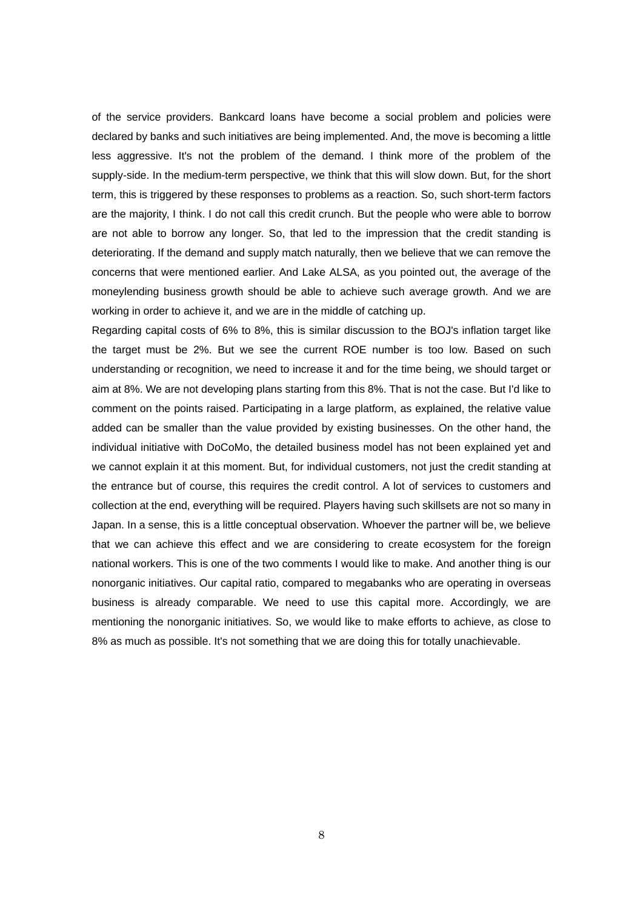of the service providers. Bankcard loans have become a social problem and policies were declared by banks and such initiatives are being implemented. And, the move is becoming a little less aggressive. It's not the problem of the demand. I think more of the problem of the supply-side. In the medium-term perspective, we think that this will slow down. But, for the short term, this is triggered by these responses to problems as a reaction. So, such short-term factors are the majority, I think. I do not call this credit crunch. But the people who were able to borrow are not able to borrow any longer. So, that led to the impression that the credit standing is deteriorating. If the demand and supply match naturally, then we believe that we can remove the concerns that were mentioned earlier. And Lake ALSA, as you pointed out, the average of the moneylending business growth should be able to achieve such average growth. And we are working in order to achieve it, and we are in the middle of catching up.

Regarding capital costs of 6% to 8%, this is similar discussion to the BOJ's inflation target like the target must be 2%. But we see the current ROE number is too low. Based on such understanding or recognition, we need to increase it and for the time being, we should target or aim at 8%. We are not developing plans starting from this 8%. That is not the case. But I'd like to comment on the points raised. Participating in a large platform, as explained, the relative value added can be smaller than the value provided by existing businesses. On the other hand, the individual initiative with DoCoMo, the detailed business model has not been explained yet and we cannot explain it at this moment. But, for individual customers, not just the credit standing at the entrance but of course, this requires the credit control. A lot of services to customers and collection at the end, everything will be required. Players having such skillsets are not so many in Japan. In a sense, this is a little conceptual observation. Whoever the partner will be, we believe that we can achieve this effect and we are considering to create ecosystem for the foreign national workers. This is one of the two comments I would like to make. And another thing is our nonorganic initiatives. Our capital ratio, compared to megabanks who are operating in overseas business is already comparable. We need to use this capital more. Accordingly, we are mentioning the nonorganic initiatives. So, we would like to make efforts to achieve, as close to 8% as much as possible. It's not something that we are doing this for totally unachievable.